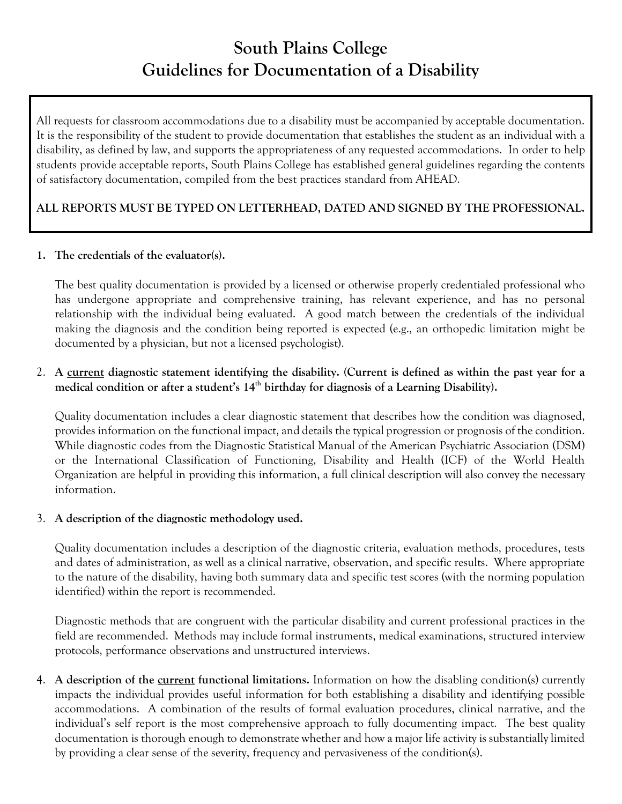# **South Plains College Guidelines for Documentation of a Disability**

All requests for classroom accommodations due to a disability must be accompanied by acceptable documentation. It is the responsibility of the student to provide documentation that establishes the student as an individual with a disability, as defined by law, and supports the appropriateness of any requested accommodations. In order to help students provide acceptable reports, South Plains College has established general guidelines regarding the contents of satisfactory documentation, compiled from the best practices standard from AHEAD.

## **ALL REPORTS MUST BE TYPED ON LETTERHEAD, DATED AND SIGNED BY THE PROFESSIONAL.**

#### **1. The credentials of the evaluator(s).**

The best quality documentation is provided by a licensed or otherwise properly credentialed professional who has undergone appropriate and comprehensive training, has relevant experience, and has no personal relationship with the individual being evaluated. A good match between the credentials of the individual making the diagnosis and the condition being reported is expected (e.g., an orthopedic limitation might be documented by a physician, but not a licensed psychologist).

### 2. **A current diagnostic statement identifying the disability. (Current is defined as within the past year for a**  medical condition or after a student's 14<sup>th</sup> birthday for diagnosis of a Learning Disability).

Quality documentation includes a clear diagnostic statement that describes how the condition was diagnosed, provides information on the functional impact, and details the typical progression or prognosis of the condition. While diagnostic codes from the Diagnostic Statistical Manual of the American Psychiatric Association (DSM) or the International Classification of Functioning, Disability and Health (ICF) of the World Health Organization are helpful in providing this information, a full clinical description will also convey the necessary information.

#### 3. **A description of the diagnostic methodology used.**

Quality documentation includes a description of the diagnostic criteria, evaluation methods, procedures, tests and dates of administration, as well as a clinical narrative, observation, and specific results. Where appropriate to the nature of the disability, having both summary data and specific test scores (with the norming population identified) within the report is recommended.

Diagnostic methods that are congruent with the particular disability and current professional practices in the field are recommended. Methods may include formal instruments, medical examinations, structured interview protocols, performance observations and unstructured interviews.

4. **A description of the current functional limitations.** Information on how the disabling condition(s) currently impacts the individual provides useful information for both establishing a disability and identifying possible accommodations. A combination of the results of formal evaluation procedures, clinical narrative, and the individual's self report is the most comprehensive approach to fully documenting impact. The best quality documentation is thorough enough to demonstrate whether and how a major life activity is substantially limited by providing a clear sense of the severity, frequency and pervasiveness of the condition(s).